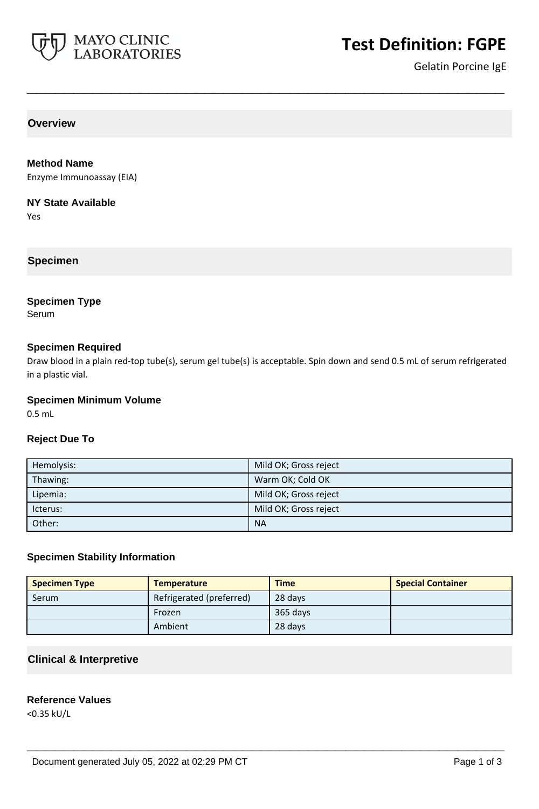

# **Test Definition: FGPE**

Gelatin Porcine IgE

**Overview**

# **Method Name**

Enzyme Immunoassay (EIA)

#### **NY State Available**

Yes

# **Specimen**

# **Specimen Type**

Serum

# **Specimen Required**

Draw blood in a plain red-top tube(s), serum gel tube(s) is acceptable. Spin down and send 0.5 mL of serum refrigerated in a plastic vial.

**\_\_\_\_\_\_\_\_\_\_\_\_\_\_\_\_\_\_\_\_\_\_\_\_\_\_\_\_\_\_\_\_\_\_\_\_\_\_\_\_\_\_\_\_\_\_\_\_\_\_\_**

#### **Specimen Minimum Volume**

0.5 mL

# **Reject Due To**

| Hemolysis: | Mild OK; Gross reject |
|------------|-----------------------|
| Thawing:   | Warm OK; Cold OK      |
| Lipemia:   | Mild OK; Gross reject |
| lcterus:   | Mild OK; Gross reject |
| Other:     | <b>NA</b>             |

# **Specimen Stability Information**

| <b>Specimen Type</b> | <b>Temperature</b>       | <b>Time</b> | <b>Special Container</b> |
|----------------------|--------------------------|-------------|--------------------------|
| Serum                | Refrigerated (preferred) | 28 days     |                          |
|                      | Frozen                   | 365 days    |                          |
|                      | Ambient                  | 28 days     |                          |

**\_\_\_\_\_\_\_\_\_\_\_\_\_\_\_\_\_\_\_\_\_\_\_\_\_\_\_\_\_\_\_\_\_\_\_\_\_\_\_\_\_\_\_\_\_\_\_\_\_\_\_**

# **Clinical & Interpretive**

# **Reference Values**

<0.35 kU/L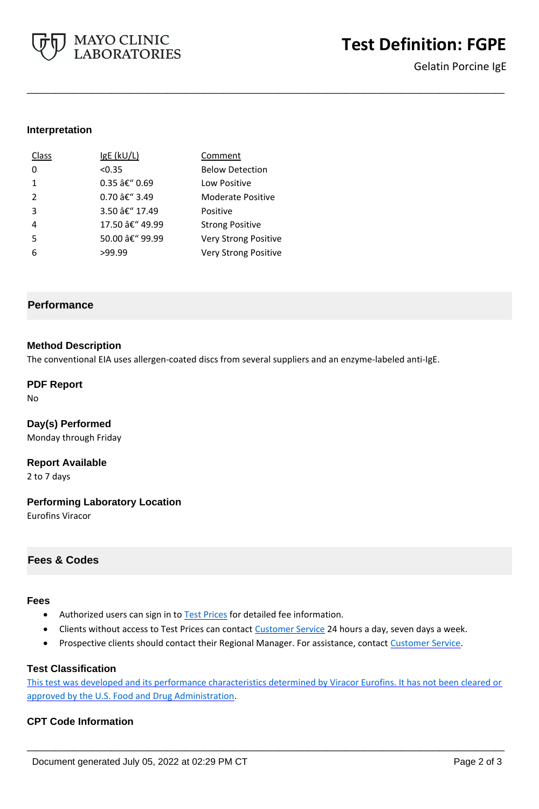

# **Test Definition: FGPE**

Gelatin Porcine IgE

# **Interpretation**

| Class         | $lgE$ (kU/L)    | Comment                     |
|---------------|-----------------|-----------------------------|
| O             | < 0.35          | <b>Below Detection</b>      |
| 1             | 0.35 â€" 0.69   | Low Positive                |
| $\mathcal{P}$ | 0.70 â€" 3.49   | Moderate Positive           |
| 3             | 3.50 â€" 17.49  | Positive                    |
| 4             | 17.50 â€" 49.99 | <b>Strong Positive</b>      |
| 5             | 50.00 â€" 99.99 | <b>Very Strong Positive</b> |
|               | >99.99          | Very Strong Positive        |

# **Performance**

#### **Method Description**

The conventional EIA uses allergen-coated discs from several suppliers and an enzyme-labeled anti-IgE.

**\_\_\_\_\_\_\_\_\_\_\_\_\_\_\_\_\_\_\_\_\_\_\_\_\_\_\_\_\_\_\_\_\_\_\_\_\_\_\_\_\_\_\_\_\_\_\_\_\_\_\_**

#### **PDF Report**

No

# **Day(s) Performed**

Monday through Friday

**Report Available**

2 to 7 days

#### **Performing Laboratory Location**

Eurofins Viracor

# **Fees & Codes**

#### **Fees**

- Authorized users can sign in to [Test Prices](https://www.mayocliniclabs.com/customer-service/client-price-lookup/index.html?unit_code=FGPE) for detailed fee information.
- Clients without access to Test Prices can contact [Customer Service](http://www.mayocliniclabs.com/customer-service/contacts.html) 24 hours a day, seven days a week.
- Prospective clients should contact their Regional Manager. For assistance, contact [Customer Service.](http://www.mayocliniclabs.com/customer-service/contacts.html)

#### **Test Classification**

This test was developed and its performance characteristics determined by Viracor Eurofins. It has not been cleared or approved by the U.S. Food and Drug Administration.

**\_\_\_\_\_\_\_\_\_\_\_\_\_\_\_\_\_\_\_\_\_\_\_\_\_\_\_\_\_\_\_\_\_\_\_\_\_\_\_\_\_\_\_\_\_\_\_\_\_\_\_**

#### **CPT Code Information**